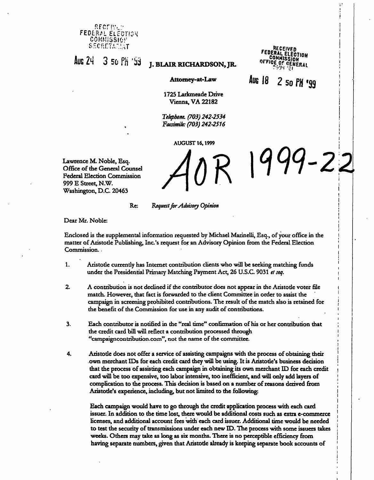

# AUG 24  $\frac{3}{3}$  50  $\frac{94}{10}$   $\frac{3}{3}$  J. BLAIR RICHARDSON, JR. OFFICE OF GE

#### Attorney-at-Law

RECEIVED<br>FEDERAL ELECTION<br>CONMISSION<br>OFFICE OF GENERAL

Aug 18 2 50 PM '99

> i i

9-22

i

! i

i

i i

i

1725 Larkmeade Drive ' Vienna, VA 22182 |

Telephone. (703) 242-2534 \ Facsimile: (703) 242-2516 \

AUGUST 16,1999

Lawrence M. Noble, Esq. Office of the General Counsel Federal Election Commission 999 E Street, N.W. Washington, D.C. 20463

 $1990$ 

Re: Request for Advisory Opinion

Dear Mr. Noble:

Enclosed is the supplemental information requested by Michael Marinelli, Esq., of your office in the ] matter of Aristotle Publishing, Inc.'s request for an Advisory Opinion from the Federal Election ' Commission.. .

- 1. Aristotle currently has Internet contribution clients who will be seeking matching funds ' under the Presidential Primary Matching Payment Act, 26 U.S.C. 9031 *et seq*.
- 2. A contribution is not declined if the contributor does not appear in the Aristotle voter file match. However, that fact is forwarded to the client Committee in order to assist the ' ; campaign in screening prohibited contributions. The result of the match also is retained for ! the benefit of the Commission for use in any audit of contributions. '
- 3. Each contributor is notified in the "real time" confirmation of his or her contribution that the credit card bill will reflect a contribution processed through \ "campaigncontribution.com", not the name of the committee. ,
- 4. Aristotle does not offer a service of assisting campaigns with the process of obtaining their j .own merchant IDs for each credit card they will be using. It is Aristotle's business decision j that the process of assisting each campaign in obtaining its own merchant ID for each credit ; card will be too expensive, too labor intensive, too inefficient, and will only add layers of | complication to the process. This decision is based on a number of reasons derived from ; Aristotle's experience, including, but not limited to the following:

Each campaign would have to go through the credit application process with each card I issuer. In addition to the time lost, there would be additional costs such as extra e-commerce licenses, and additional account fees with each card issuer. Additional time would be needed j to test the security of transmissions under each new ID. The process with some issuers takes weeks. Others may take as long as six months. There is no perceptible efficiency from j having separate numbers, given that Aristotle already is keeping separate book accounts of '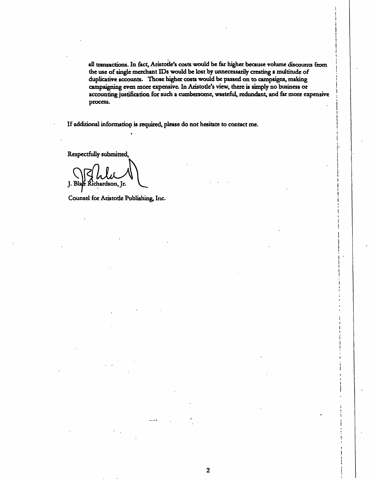all transactions. In fact, Aristotle's costs would be far higher because volume discounts from the use of single merchant IDs would be lost by unnecessarily creating a multitude of duplicative accounts. Those higher costs would be passed on to campaigns, making campaigning even more expensive. In Aristotle's view, there is simply no business or accounting justification for such a cumbersome, wasteful, redundant, and far more expensive process.

i

If additional information is required, please do not hesitate to contact me.

Respectfully submitted,

J.Blalt Richardson, Jr. V |

Counsel for Aristotle Publishing, Inc. j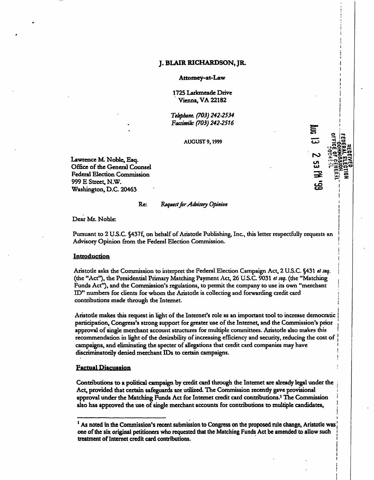### J. BLAIR RICHARDSON, JR. j

#### Attorney-at-Law j

i

i

I

i

j

c=

 $\mathbf{v}$  is

1725 Larkmeade Drive j **Vienna, VA 22182** 

Telephone. (703) 242-2534 Facsimile: (703) 242-2516

**AUGUST 9, 1999** 

Lawrence M. Noble, Esq. Office of the General Counsel Federal Election Commission 999 E Street, N.W. ^ ^ Washington, D.C. 20463

#### Re: Request for Advisory Opinion

Dear Mr. Noble:

Pursuant to 2 U.S.C. §437f, on behalf of Aristotle Publishing, Inc., this letter respectfully requests an Advisory Opinion from die Federal Election Commission. I

# **Introduction**

Aristotle asks the Commission to interpret the Federal Election Campaign Act, 2 U.S.C. §431 et seq. (the "Act"), the Presidential Primary Matching Payment Act, 26 U.S.C. 9031 et seq. (the "Matching Funds Act"), and the Commission's regulations, to permit the company to use its own "merchant ! ID" numbers for clients for whom the Aristotle is collecting and forwarding credit card contributions made through the Internet. •

Aristode makes this request in light of die Internet's role as an important tool to increase democratic j participation, Congress's strong support for greater use of the Internet, and the Commission's prior \ approval of single merchant account structures for multiple committees. Aristode also makes this ' recommendation in light of the desirability of increasing efficiency and security, reducing the cost of j campaigns, and eliminating the specter of allegations that credit card companies may have ' discriminatorily denied merchant IDs. to certain campaigns.

#### Factual Discussion

Contributions to a political campaign by credit card through the Internet are already legal under the j Act, provided that certain safeguards are utilized. The Commission recendy gave provisional j approval under the Matching Funds Act for Internet credit card contributions.<sup>1</sup> The Commission also has approved the use of single merchant accounts for contributions to multiple candidates, ;

<sup>&</sup>lt;sup>1</sup> As noted in the Commission's recent submission to Congress on the proposed rule change, Aristotle was<sup>1</sup> one of the six original petitioners who requested that the Matching Funds Act be amended to allow such j treatment of Internet credit card contributions. '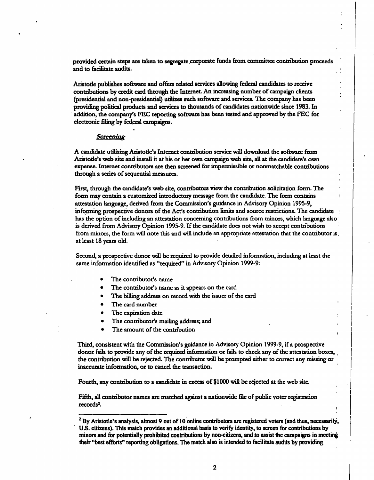provided certain steps are taken to segregate corporate funds from committee contribution proceeds and to facilitate audits.

Aristotle publishes software and offers related services allowing federal candidates to receive contributions by credit card through the Internet An increasing number of campaign clients (presidential and non-presidential) utilizes such software and services. The company has been providing political products and services to thousands of candidates nationwide since 1983. In addition, the company's FEC reporting software has been tested and approved by the FEC for electronic filing by federal campaigns.

#### **Screening**

A candidate utilizing Aristotle's Internet contribution service will download the software from Aristotle's web site and install it at his or her own campaign web site, all at the candidate's own expense. Internet contributors are then screened for impermissible or nonmatchable contributions through a series of sequential measures.

First, through the candidate's web site, contributors view the contribution solicitation form. The form may contain a customized introductory message from the candidate. The form contains • attestation language, derived.from the Commission's guidance in Advisory Opinion 1995-9, informing prospective donors of the Act's contribution limits and source restrictions. The candidate has the option of including an attestation concerning contributions from minors, which language also is derived from Advisory Opinion 1995-9. If the candidate does not wish to accept contributions from minors, the form will note this and will include an appropriate attestation that the contributor is, at least 18 years old.

Second, a prospective donor will be required to provide detailed information, including at least the same information identified as "required" in Advisory Opinion 1999-9:

- The contributor's name
- The contributor's name as it appears on the card
- The billing address on record with the issuer of the card
- The card number
- The expiration date
- The contributor's mailing address; and
- The amount of the contribution

Third, consistent with die Commission's guidance in Advisory Opinion 1999-9, if a prospective donor fails to provide any of the required information or fails to check any of the attestation boxes, the contribution will be rejected. The contributor will be prompted either to correct any missing or inaccurate information, or to cancel the transaction.

i

Fourth, any contribution to a candidate in excess of \$1000 will be rejected at the web site.

Fifth, all contributor names are matched against a nationwide file of public voter registration records<sup>2</sup> .

 $<sup>2</sup>$  By Aristotle's analysis, almost 9 out of 10 online contributors are registered voters (and thus, necessarily,</sup> U.S. citizens). This match provides an additional basis to verify identity, to screen for contributions by minors and for potentially prohibited contributions by non-citizens, and to assist the campaigns in meeting their "best efforts" reporting obligations. The match also is intended to facilitate audits by providing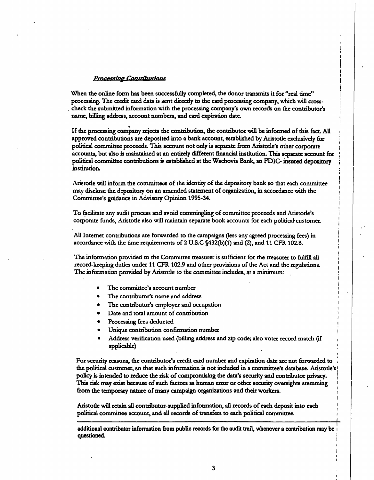#### Processing Contributions

When the online form has been successfully completed, the donor transmits it for "real time" processing. The credit card data is sent directly to the card processing company, which will cross- j check the submitted information with die processing company's own records on the contributor's ' name, billing address, account numbers, and card expiration date.

If the processing company rejects the contribution, the contributor will be informed of this fact All < approved contributions are deposited into a bank account, established by Aristotle exclusively for :<br>1990 - Paris political committee proceeds. This account not only is separate from Aristotle's other corporate i accounts, but also is maintained at an entirely different financial institution. This separate account for \ political committee contributions is established at the Wachovia Bank, an FDIC- insured depository ; institution.<br>Institution.

Aristotle will inform the committees of the identity of the depository bank so that each committee ' may disclose the depository on an amended statement of organization, in accordance with the ( Committee's guidance in Advisory Opinion 1995-34. !

I

i

I

i

To facilitate any audit process and avoid commingling of committee proceeds and Aristotle's i corporate funds, Aristotle also will maintain separate book accounts for each political customer.

All Internet contributions are forwarded to the campaigns (less any agreed processing fees) in accordance with the time requirements of 2 U.S.C §432(b)(l) and (2), and 11 CFR 102.8. !

The information provided to the Committee treasurer is sufficient for the treasurer to fulfill all record-keeping duties under 11 CFR 102.9 and other provisions of the Act and the regulations. ! The information provided by Aristotle to the committee includes, at a minimum: j

- The committee's account number
- The contributor's name and address
- The contributor's employer and occupation
- Date and total amount of contribution
- Processing fees deducted
- Unique contribution confirmation number
- Address verification used (billing address and zip code; also voter record match (if applicable) \

For security reasons, the contributor's credit card number and expiration date are not forwarded to the political customer, so that such information is not included in a committee's database. Aristotle's] policy is intended to reduce the risk of compromising the data's security and contributor privacy. j This risk may exist because of such factors as human error or other security oversights stemming i from the temporary nature of many campaign organizations and their workers.

Aristotle will retain all contributor-supplied information, all records of each deposit into each '' political committee account, and all records of transfers to each political committee.

additional contributor information from public records for the audit trail, whenever a contribution may be i questioned. The contract of the contract of the contract of the contract of the contract of the contract of the contract of the contract of the contract of the contract of the contract of the contract of the contract of th

; i\_\_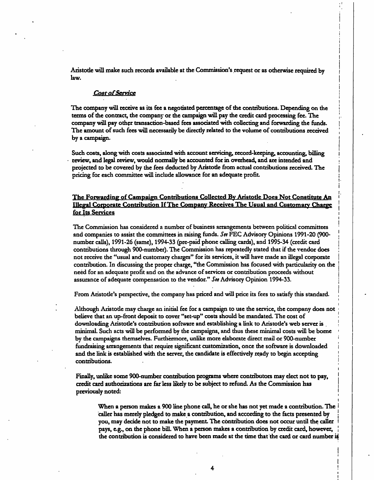Aristotle will make such records available at the Commission's request or as otherwise required by law.

## **Cost of Service**

The company will receive as its fee a negotiated percentage of the contributions. Depending on the terms of the contract, the company or the campaign will pay die credit card processing fee. The company will pay other transaction-based fees associated with collecting and forwarding the funds. The amount of such fees will necessarily be direcdy related to the volume of contributions received by a campaign.

Such costs, along with costs associated with account servicing, record-keeping, accounting, billing review, and legal review, would normally be accounted for in overhead, and are intended and projected to be covered by the fees deducted by Aristotle from actual contributions received. The pricing for each committee will include allowance for an adequate profit.

# The Forwarding of Campaign Contributions Collected By Aristotle Does Not Constitute An Illegal Corporate Contribution If The Company Receives The Usual and Customary Charge for Its Services

The Commission has considered a number of business arrangements between political committees and companies to assist the committees in raising funds. See FEC Advisory Opinions 1991-20 (900number calls), 1991-26 (same), 1994-33 (pre-paid phone calling cards), and 1995-34 (credit card contributions through 900-number). The Commission has repeatedly stated that if the vendor does not receive the "usual and customary charges" for its services, it will have made an illegal corporate contribution. In discussing the proper charge, "the Commission has focused with particularity on the need for an adequate profit and on the advance of services or contribution proceeds without assurance of adequate compensation to the vendor." See Advisory Opinion 1994-33.

From Aristotle's perspective, the company has priced and will price its fees to satisfy this standard. ,

Although Aristotle may charge an initial fee for a campaign to use the service, the company does not • believe that an up-front deposit to cover "set-up" costs should be mandated. The cost of downloading Aristotle's contribution software and establishing a link to Aristotle's web server is minimal. Such acts will be performed by the campaigns, and thus these minimal costs will be borne ' by the campaigns themselves. Furthermore, unlike more elaborate direct mail or 900-number ' fundraising arrangements that require significant customization, once the software is downloaded i and the link is established with the server, the candidate is effectively ready to begin accepting j contributions.

Finally, unlike some 900-number contribution programs where contributors may elect not to pay, j credit card authorizations are far less likely to be subject to refund. As the Commission has j previously noted: j

When a person makes a 900 line phone call, he or she has not yet made a contribution. The i caller has merely pledged to make a contribution, and according to the facts presented by | you, may decide not to make the payment. The contribution does not occur until the caller pays, e.g., on the phone bill. When a person makes a contribution by credit card, however, the contribution is considered to have been made at the time that the card or card number is

i

i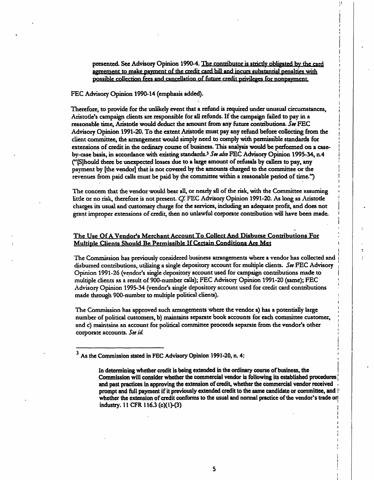presented. See Advisory Opinion 1990-4. The contributor is strictly obligated by the card agreement to make payment of the credit card bill and incurs substantial penalties with possible collection fees and cancellation of future credit privileges for nonpayment.

## FEC Advisory Opinion 1990-14 (emphasis added).

Therefore, to provide for the unlikely event that a refund is required under unusual circumstances, Aristotle's campaign clients are responsible for all refunds. If the campaign failed to pay in a j reasonable time, Aristotle would deduct the amount from any future contributions. See FEC Advisory Opinion 1991-20. To the extent Aristotle must pay any refund before collecting from the client committee, die arrangement would simply need to comply with permissible standards for J extensions of credit in the ordinary course of business. This analysis would be performed on a case- j by-case basis, in accordance with existing standards.<sup>3</sup> See also FEC Advisory Opinion 1995-34, n.4 i ("[SJhould there be unexpected losses due to a large amount of refusals by callers to pay, any ; payment by [the vendor] that is not covered by the amounts charged to the committee or the | revenues from paid calls must be paid by the committee within a reasonable period of time.") I

The concern that the vendor would bear all, or nearly all of the risk, with the Committee assuming • little or no risk, therefore is not present. Cf. FEC Advisory Opinion 1991-20. As long as Aristotle charges its usual and customary charge for the services, including an adequate profit, and does not j grant improper extensions of credit, then no unlawful corporate contribution will have been made. ' i

i

i

i

# The Use Of A Vendor's Merchant Account To Collect And Disburse Contributions For ' Multiple Clients Should Be Permissible If Certain Conditions Are Met

The Commission has previously considered business arrangements where a vendor has collected and i disbursed contributions, utilizing a single depository account for multiple clients. See FEC Advisory Opinion 1991-26 (vendor's single depository account used for campaign contributions made to | multiple clients as a result of 900-number calls); FEC Advisory Opinion 1991-20 (same); FEC ! Advisory Opinion 1995-34 (vendor's single depository account used for credit card contributions made through 900-number to multiple political clients). •

The Commission has approved such arrangements where the vendor a) has a potentially large number of political customers, b) maintains separate book accounts for each committee customer, and c) maintains an account for political committee proceeds separate from the vendor's other corporate accounts. See id.

 $3$  As the Commission stated in FEC Advisory Opinion 1991-20, n. 4:

In determining whether credit is being extended in the ordinary course of business, the Commission will consider whether the commercial vendor is following its established procedures I and past practices in approving the extension of credit, whether the commercial vendor received . prompt and full payment if it previously extended credit to the same candidate or committee, and ! whether the extension of credit conforms to the usual and normal practice of the vendor's trade orj industry. 11 CFR116.3 (c)(l)-(3) \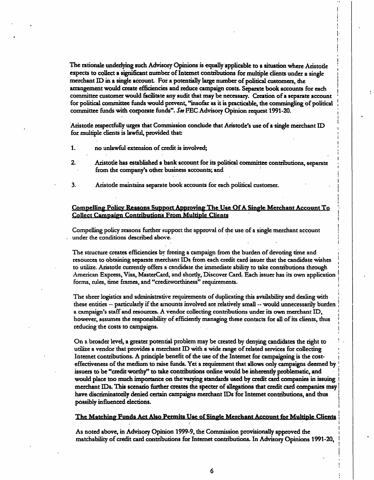The rationale underlying such Advisory Opinions is equally applicable to a situation where Aristotle expects to collect a significant number of Internet contributions for multiple clients under a single merchant  $ID$  in a single account. For a potentially large number of political customers, the arrangement would create efficiencies and reduce campaign costs. Separate book accounts for each committee customer would facilitate any audit that may be necessary. Creation of a separate account for political committee funds would prevent, "insofar as it is practicable, the commingling of political committee funds with corporate funds". See FEC Advisory Opinion request 1991-20.

Aristotle respectfully urges that Commission conclude that Aristotle's use of a single merchant ID for multiple clients is lawful, provided that:

- 1. no unlawful extension of credit is involved;
- 2. Aristotle has established a bank account for its political committee contributions, separate from the company's other business accounts; and
- 3. Aristotle maintains separate book accounts for each political customer.

## Compelling Policy Reasons Support Approving The Use Of A Single Merchant Account To Collect Campaign Contributions From Multiple Clients

Compelling policy reasons further support the approval of the use of a single merchant account under the conditions described above.

The structure creates efficiencies by freeing a campaign from the burden of devoting time and \ resources to obtaining separate merchant IDs from each credit card issuer that the candidate wishes J to utilize. Aristotle currently offers a candidate the immediate ability to take contributions through < American Express, Visa, MasterCard, and shortly, Discover Card. Each issuer has its own application ! forms, rules, time frames, and "creditworthiness" requirements.

The sheer logistics and administrative requirements of duplicating this availability and dealing with ! these entities -- particularly if the amounts involved are relatively small -- would unnecessarily burden a campaign's staff and resources. A vendor collecting contributions under its own merchant ID, j however, assumes the responsibility of efficiently managing these contacts for all of its clients, thus reducing the costs to campaigns.

i

i

On a broader level, a greater potential problem may be created by denying candidates the right to : utilize a vendor that provides a merchant ID with a wide range of related services for collecting Internet contributions. A principle benefit of the use of the Internet for campaigning is the cost- j effectiveness of the medium to raise funds. Yet a requirement that allows only campaigns deemed by ; issuers to be "credit worthy" to take contributions online would be inherently problematic, and j would place too much importance on the varying standards used by credit card companies in issuing merchant IDs. This scenario further creates the specter of allegations that credit card companies may have discriminatorily denied certain campaigns merchant IDs for Internet contributions, and thus i possibly influenced elections.

The Matching Funds Act Also Permits Use of Single Merchant Account for Multiple Clients j

As noted above, in Advisory Opinion 1999-9, the Commission provisionally approved the i matchability of credit card contributions for Internet contributions. In Advisory Opinions 1991-20, I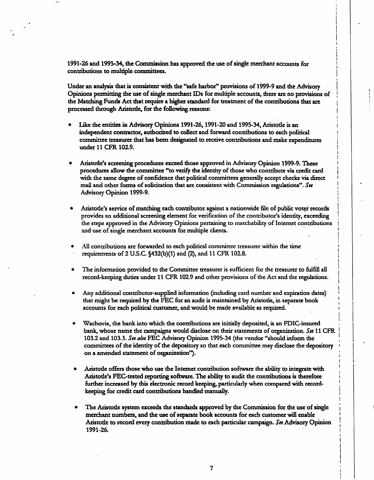1991-26 and 1995-34, the Commission has approved the use of single merchant accounts for ; contributions to multiple committees.

Under an analysis that is consistent with the "safe harbor" provisions of 1999-9 and the Advisory | Opinions permitting the use of single merchant IDs for multiple accounts, there are no provisions of | the Matching Funds Act that require a higher standard for treatment of the contributions that are processed through Aristotle, for the following reasons: j

i

i

i

i i

i

I

i i

i

I

- Like the entities in Advisory Opinions 1991-26, 1991-20 and 1995-34, Aristotle is an independent contractor, authorized to collect and forward contributions to each political committee treasurer that has been designated to receive contributions and make expenditures j under 11 CFR 102.9. !
- Aristotle's screening procedures exceed those approved in Advisory Opinion 1999-9. These procedures allow the committee "to verify the identity of those who contribute via credit card with the same degree of confidence that political committees generally accept checks via direct mail and other forms of solicitation that are consistent with Commission regulations". See Advisory Opinion 1999-9. |
- Aristotle's service of matching each contributor against a nationwide file of public voter records provides an additional screening element for verification of the contributor's identity, exceeding ; the steps approved in the Advisory Opinions pertaining to mntchability of Internet contributions i and use of single merchant accounts for multiple clients.
- All contributions are forwarded to each political committee treasurer within the time ' requirements of 2 U.S.C. §432(b)(l) and (2), and 11 CFR 102.8. |
- The information provided to the Committee treasurer is sufficient for the treasurer to fulfill all record-keeping duties under 11 CFR 102.9 and other provisions of the Act and the regulations. i
- Any additional contributor-supplied information (including card number and expiration dates) ' that might be required by the FEC for an audit is maintained by Aristotle, in separate book accounts for each political customer, and would be made available as required. i
- Wachovia, the bank into which the contributions are initially deposited, is an FDIC-insured \ bank, whose name the campaigns would disclose on their statements of organization. See 11 CFR 103.2 and 103.3. See also FEC Advisory Opinion 1995-34 (the vendor "should inform the committees of the identity of the depository so that each committee may disclose the depository ' on a amended statement of organization").
- Aristotle offers those who use the Internet contribution software the ability to integrate with Aristotle's FEC-tested reporting software. The ability to audit the contributions is therefore i further increased by this electronic record keeping, particularly when compared with record- j keeping for credit card contributions handled manually.
- The Aristotle system exceeds the standards approved by the Commission for the use of single merchant numbers, and the use of separate book accounts for each customer will enable ' Aristotle to record every contribution made to each particular campaign. See Advisory Opinion ; 1991-26. i

7